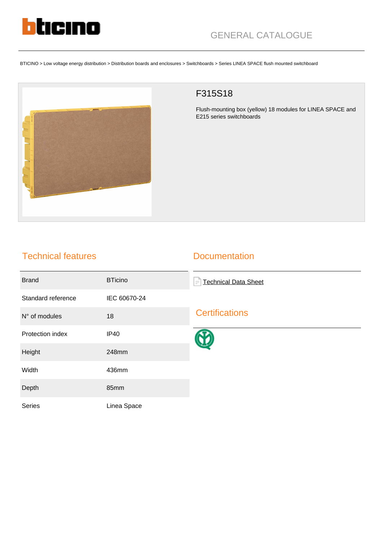

BTICINO > Low voltage energy distribution > Distribution boards and enclosures > Switchboards > Series LINEA SPACE flush mounted switchboard



## F315S18

Flush-mounting box (yellow) 18 modules for LINEA SPACE and E215 series switchboards

## Technical features

## **Documentation**

| <b>Brand</b>       | <b>BTicino</b> | <b>Technical Data Sheet</b><br>$\equiv$ |
|--------------------|----------------|-----------------------------------------|
| Standard reference | IEC 60670-24   |                                         |
| N° of modules      | 18             | <b>Certifications</b>                   |
| Protection index   | <b>IP40</b>    |                                         |
| Height             | 248mm          |                                         |
| Width              | 436mm          |                                         |
| Depth              | 85mm           |                                         |
| Series             | Linea Space    |                                         |